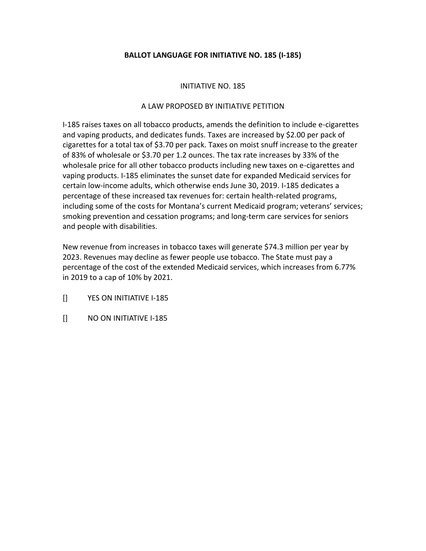# **BALLOT LANGUAGE FOR INITIATIVE NO. 185 (I-185)**

## INITIATIVE NO. 185

## A LAW PROPOSED BY INITIATIVE PETITION

I-185 raises taxes on all tobacco products, amends the definition to include e-cigarettes and vaping products, and dedicates funds. Taxes are increased by \$2.00 per pack of cigarettes for a total tax of \$3.70 per pack. Taxes on moist snuff increase to the greater of 83% of wholesale or \$3.70 per 1.2 ounces. The tax rate increases by 33% of the wholesale price for all other tobacco products including new taxes on e-cigarettes and vaping products. I-185 eliminates the sunset date for expanded Medicaid services for certain low-income adults, which otherwise ends June 30, 2019. I-185 dedicates a percentage of these increased tax revenues for: certain health-related programs, including some of the costs for Montana's current Medicaid program; veterans' services; smoking prevention and cessation programs; and long-term care services for seniors and people with disabilities.

New revenue from increases in tobacco taxes will generate \$74.3 million per year by 2023. Revenues may decline as fewer people use tobacco. The State must pay a percentage of the cost of the extended Medicaid services, which increases from 6.77% in 2019 to a cap of 10% by 2021.

- [] YES ON INITIATIVE I-185
- [] NO ON INITIATIVE I-185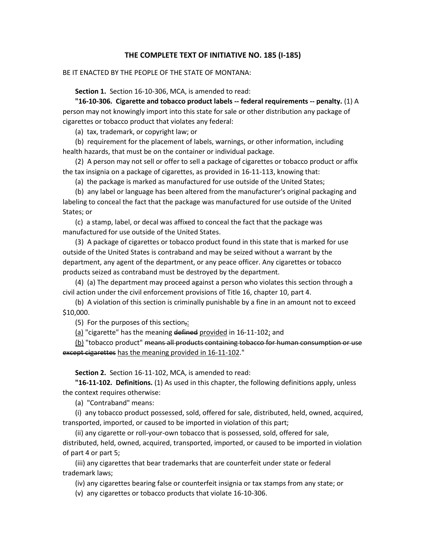### **THE COMPLETE TEXT OF INITIATIVE NO. 185 (I-185)**

#### BE IT ENACTED BY THE PEOPLE OF THE STATE OF MONTANA:

**Section 1.** Section 16-10-306, MCA, is amended to read:

**"16-10-306. Cigarette and tobacco product labels -- federal requirements -- penalty.** (1) A person may not knowingly import into this state for sale or other distribution any package of cigarettes or tobacco product that violates any federal:

(a) tax, trademark, or copyright law; or

(b) requirement for the placement of labels, warnings, or other information, including health hazards, that must be on the container or individual package.

(2) A person may not sell or offer to sell a package of cigarettes or tobacco product or affix the tax insignia on a package of cigarettes, as provided in 16-11-113, knowing that:

(a) the package is marked as manufactured for use outside of the United States;

(b) any label or language has been altered from the manufacturer's original packaging and labeling to conceal the fact that the package was manufactured for use outside of the United States; or

(c) a stamp, label, or decal was affixed to conceal the fact that the package was manufactured for use outside of the United States.

(3) A package of cigarettes or tobacco product found in this state that is marked for use outside of the United States is contraband and may be seized without a warrant by the department, any agent of the department, or any peace officer. Any cigarettes or tobacco products seized as contraband must be destroyed by the department.

(4) (a) The department may proceed against a person who violates this section through a civil action under the civil enforcement provisions of Title 16, chapter 10, part 4.

(b) A violation of this section is criminally punishable by a fine in an amount not to exceed \$10,000.

(5) For the purposes of this section,:

(a) "cigarette" has the meaning defined provided in 16-11-102; and

(b) "tobacco product" means all products containing tobacco for human consumption or use except cigarettes has the meaning provided in 16-11-102."

**Section 2.** Section 16-11-102, MCA, is amended to read:

**"16-11-102. Definitions.** (1) As used in this chapter, the following definitions apply, unless the context requires otherwise:

(a) "Contraband" means:

(i) any tobacco product possessed, sold, offered for sale, distributed, held, owned, acquired, transported, imported, or caused to be imported in violation of this part;

(ii) any cigarette or roll-your-own tobacco that is possessed, sold, offered for sale, distributed, held, owned, acquired, transported, imported, or caused to be imported in violation of part 4 or part 5;

(iii) any cigarettes that bear trademarks that are counterfeit under state or federal trademark laws;

(iv) any cigarettes bearing false or counterfeit insignia or tax stamps from any state; or

(v) any cigarettes or tobacco products that violate 16-10-306.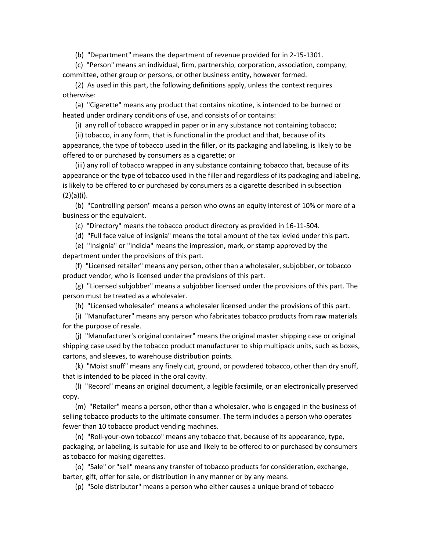(b) "Department" means the department of revenue provided for in 2-15-1301.

(c) "Person" means an individual, firm, partnership, corporation, association, company, committee, other group or persons, or other business entity, however formed.

(2) As used in this part, the following definitions apply, unless the context requires otherwise:

(a) "Cigarette" means any product that contains nicotine, is intended to be burned or heated under ordinary conditions of use, and consists of or contains:

(i) any roll of tobacco wrapped in paper or in any substance not containing tobacco;

(ii) tobacco, in any form, that is functional in the product and that, because of its appearance, the type of tobacco used in the filler, or its packaging and labeling, is likely to be

offered to or purchased by consumers as a cigarette; or

(iii) any roll of tobacco wrapped in any substance containing tobacco that, because of its appearance or the type of tobacco used in the filler and regardless of its packaging and labeling, is likely to be offered to or purchased by consumers as a cigarette described in subsection (2)(a)(i).

(b) "Controlling person" means a person who owns an equity interest of 10% or more of a business or the equivalent.

(c) "Directory" means the tobacco product directory as provided in 16-11-504.

(d) "Full face value of insignia" means the total amount of the tax levied under this part.

(e) "Insignia" or "indicia" means the impression, mark, or stamp approved by the department under the provisions of this part.

(f) "Licensed retailer" means any person, other than a wholesaler, subjobber, or tobacco product vendor, who is licensed under the provisions of this part.

(g) "Licensed subjobber" means a subjobber licensed under the provisions of this part. The person must be treated as a wholesaler.

(h) "Licensed wholesaler" means a wholesaler licensed under the provisions of this part.

(i) "Manufacturer" means any person who fabricates tobacco products from raw materials for the purpose of resale.

(j) "Manufacturer's original container" means the original master shipping case or original shipping case used by the tobacco product manufacturer to ship multipack units, such as boxes, cartons, and sleeves, to warehouse distribution points.

(k) "Moist snuff" means any finely cut, ground, or powdered tobacco, other than dry snuff, that is intended to be placed in the oral cavity.

(l) "Record" means an original document, a legible facsimile, or an electronically preserved copy.

(m) "Retailer" means a person, other than a wholesaler, who is engaged in the business of selling tobacco products to the ultimate consumer. The term includes a person who operates fewer than 10 tobacco product vending machines.

(n) "Roll-your-own tobacco" means any tobacco that, because of its appearance, type, packaging, or labeling, is suitable for use and likely to be offered to or purchased by consumers as tobacco for making cigarettes.

(o) "Sale" or "sell" means any transfer of tobacco products for consideration, exchange, barter, gift, offer for sale, or distribution in any manner or by any means.

(p) "Sole distributor" means a person who either causes a unique brand of tobacco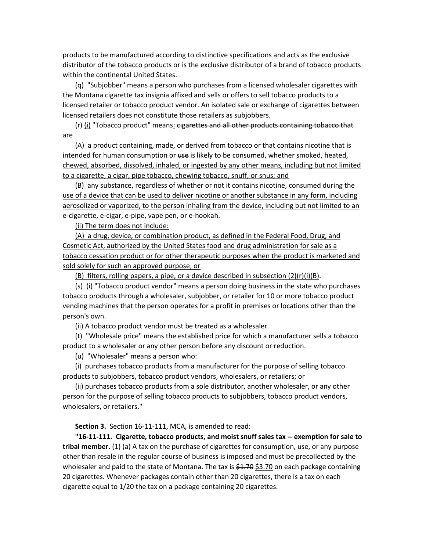products to be manufactured according to distinctive specifications and acts as the exclusive distributor of the tobacco products or is the exclusive distributor of a brand of tobacco products within the continental United States.

(q) "Subjobber" means a person who purchases from a licensed wholesaler cigarettes with the Montana cigarette tax insignia affixed and sells or offers to sell tobacco products to a licensed retailer or tobacco product vendor. An isolated sale or exchange of cigarettes between licensed retailers does not constitute those retailers as subjobbers.

(r) (i) "Tobacco product" means: cigarettes and all other products containing tobacco that are

(A) a product containing, made, or derived from tobacco or that contains nicotine that is intended for human consumption or use is likely to be consumed, whether smoked, heated, chewed, absorbed, dissolved, inhaled, or ingested by any other means, including but not limited to a cigarette, a cigar, pipe tobacco, chewing tobacco, snuff, or snus; and

(B) any substance, regardless of whether or not it contains nicotine, consumed during the use of a device that can be used to deliver nicotine or another substance in any form, including aerosolized or vaporized, to the person inhaling from the device, including but not limited to an e-cigarette, e-cigar, e-pipe, vape pen, or e-hookah.

(ii) The term does not include:

(A) a drug, device, or combination product, as defined in the Federal Food, Drug, and Cosmetic Act, authorized by the United States food and drug administration for sale as a tobacco cessation product or for other therapeutic purposes when the product is marketed and sold solely for such an approved purpose; or

(B) filters, rolling papers, a pipe, or a device described in subsection  $(2)(r)(i)(B)$ .

(s) (i) "Tobacco product vendor" means a person doing business in the state who purchases tobacco products through a wholesaler, subjobber, or retailer for 10 or more tobacco product vending machines that the person operates for a profit in premises or locations other than the person's own.

(ii) A tobacco product vendor must be treated as a wholesaler.

(t) "Wholesale price" means the established price for which a manufacturer sells a tobacco product to a wholesaler or any other person before any discount or reduction.

(u) "Wholesaler" means a person who:

(i) purchases tobacco products from a manufacturer for the purpose of selling tobacco products to subjobbers, tobacco product vendors, wholesalers, or retailers; or

(ii) purchases tobacco products from a sole distributor, another wholesaler, or any other person for the purpose of selling tobacco products to subjobbers, tobacco product vendors, wholesalers, or retailers."

**Section 3.** Section 16-11-111, MCA, is amended to read:

**"16-11-111. Cigarette, tobacco products, and moist snuff sales tax -- exemption for sale to tribal member.** (1) (a) A tax on the purchase of cigarettes for consumption, use, or any purpose other than resale in the regular course of business is imposed and must be precollected by the wholesaler and paid to the state of Montana. The tax is \$1.70 \$3.70 on each package containing 20 cigarettes. Whenever packages contain other than 20 cigarettes, there is a tax on each cigarette equal to 1/20 the tax on a package containing 20 cigarettes.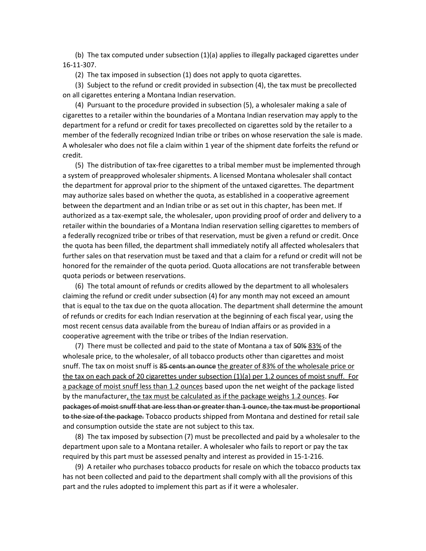(b) The tax computed under subsection (1)(a) applies to illegally packaged cigarettes under 16-11-307.

(2) The tax imposed in subsection (1) does not apply to quota cigarettes.

(3) Subject to the refund or credit provided in subsection (4), the tax must be precollected on all cigarettes entering a Montana Indian reservation.

(4) Pursuant to the procedure provided in subsection (5), a wholesaler making a sale of cigarettes to a retailer within the boundaries of a Montana Indian reservation may apply to the department for a refund or credit for taxes precollected on cigarettes sold by the retailer to a member of the federally recognized Indian tribe or tribes on whose reservation the sale is made. A wholesaler who does not file a claim within 1 year of the shipment date forfeits the refund or credit.

(5) The distribution of tax-free cigarettes to a tribal member must be implemented through a system of preapproved wholesaler shipments. A licensed Montana wholesaler shall contact the department for approval prior to the shipment of the untaxed cigarettes. The department may authorize sales based on whether the quota, as established in a cooperative agreement between the department and an Indian tribe or as set out in this chapter, has been met. If authorized as a tax-exempt sale, the wholesaler, upon providing proof of order and delivery to a retailer within the boundaries of a Montana Indian reservation selling cigarettes to members of a federally recognized tribe or tribes of that reservation, must be given a refund or credit. Once the quota has been filled, the department shall immediately notify all affected wholesalers that further sales on that reservation must be taxed and that a claim for a refund or credit will not be honored for the remainder of the quota period. Quota allocations are not transferable between quota periods or between reservations.

(6) The total amount of refunds or credits allowed by the department to all wholesalers claiming the refund or credit under subsection (4) for any month may not exceed an amount that is equal to the tax due on the quota allocation. The department shall determine the amount of refunds or credits for each Indian reservation at the beginning of each fiscal year, using the most recent census data available from the bureau of Indian affairs or as provided in a cooperative agreement with the tribe or tribes of the Indian reservation.

(7) There must be collected and paid to the state of Montana a tax of 50% 83% of the wholesale price, to the wholesaler, of all tobacco products other than cigarettes and moist snuff. The tax on moist snuff is 85 cents an ounce the greater of 83% of the wholesale price or the tax on each pack of 20 cigarettes under subsection (1)(a) per 1.2 ounces of moist snuff. For a package of moist snuff less than 1.2 ounces based upon the net weight of the package listed by the manufacturer, the tax must be calculated as if the package weighs 1.2 ounces. For packages of moist snuff that are less than or greater than 1 ounce, the tax must be proportional to the size of the package. Tobacco products shipped from Montana and destined for retail sale and consumption outside the state are not subject to this tax.

(8) The tax imposed by subsection (7) must be precollected and paid by a wholesaler to the department upon sale to a Montana retailer. A wholesaler who fails to report or pay the tax required by this part must be assessed penalty and interest as provided in 15-1-216.

(9) A retailer who purchases tobacco products for resale on which the tobacco products tax has not been collected and paid to the department shall comply with all the provisions of this part and the rules adopted to implement this part as if it were a wholesaler.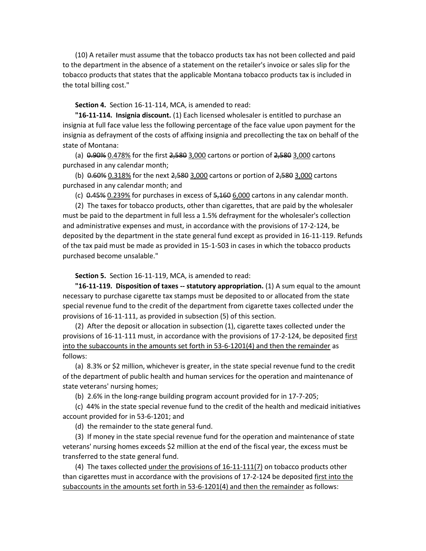(10) A retailer must assume that the tobacco products tax has not been collected and paid to the department in the absence of a statement on the retailer's invoice or sales slip for the tobacco products that states that the applicable Montana tobacco products tax is included in the total billing cost."

**Section 4.** Section 16-11-114, MCA, is amended to read:

**"16-11-114. Insignia discount.** (1) Each licensed wholesaler is entitled to purchase an insignia at full face value less the following percentage of the face value upon payment for the insignia as defrayment of the costs of affixing insignia and precollecting the tax on behalf of the state of Montana:

(a)  $0.90\%$   $0.478\%$  for the first  $2,580$   $3,000$  cartons or portion of  $2,580$   $3,000$  cartons purchased in any calendar month;

(b)  $0.60\%$   $0.318\%$  for the next  $2,580$   $3,000$  cartons or portion of  $2,580$   $3,000$  cartons purchased in any calendar month; and

(c)  $0.45\%$  0.239% for purchases in excess of  $5,160$   $6,000$  cartons in any calendar month.

(2) The taxes for tobacco products, other than cigarettes, that are paid by the wholesaler must be paid to the department in full less a 1.5% defrayment for the wholesaler's collection and administrative expenses and must, in accordance with the provisions of 17-2-124, be deposited by the department in the state general fund except as provided in 16-11-119. Refunds of the tax paid must be made as provided in 15-1-503 in cases in which the tobacco products purchased become unsalable."

**Section 5.** Section 16-11-119, MCA, is amended to read:

**"16-11-119. Disposition of taxes -- statutory appropriation.** (1) A sum equal to the amount necessary to purchase cigarette tax stamps must be deposited to or allocated from the state special revenue fund to the credit of the department from cigarette taxes collected under the provisions of 16-11-111, as provided in subsection (5) of this section.

(2) After the deposit or allocation in subsection (1), cigarette taxes collected under the provisions of 16-11-111 must, in accordance with the provisions of 17-2-124, be deposited first into the subaccounts in the amounts set forth in 53-6-1201(4) and then the remainder as follows:

(a) 8.3% or \$2 million, whichever is greater, in the state special revenue fund to the credit of the department of public health and human services for the operation and maintenance of state veterans' nursing homes;

(b) 2.6% in the long-range building program account provided for in 17-7-205;

(c) 44% in the state special revenue fund to the credit of the health and medicaid initiatives account provided for in 53-6-1201; and

(d) the remainder to the state general fund.

(3) If money in the state special revenue fund for the operation and maintenance of state veterans' nursing homes exceeds \$2 million at the end of the fiscal year, the excess must be transferred to the state general fund.

(4) The taxes collected under the provisions of 16-11-111(7) on tobacco products other than cigarettes must in accordance with the provisions of 17-2-124 be deposited first into the subaccounts in the amounts set forth in 53-6-1201(4) and then the remainder as follows: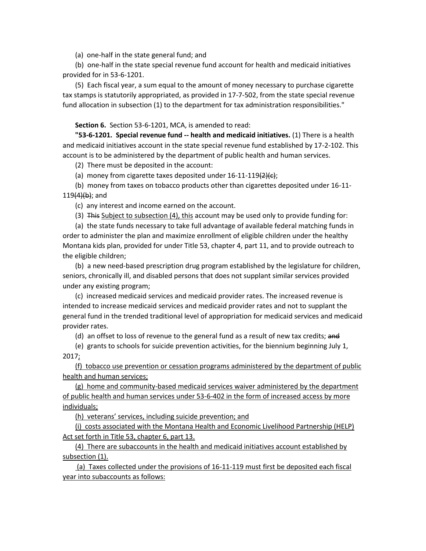(a) one-half in the state general fund; and

(b) one-half in the state special revenue fund account for health and medicaid initiatives provided for in 53-6-1201.

(5) Each fiscal year, a sum equal to the amount of money necessary to purchase cigarette tax stamps is statutorily appropriated, as provided in 17-7-502, from the state special revenue fund allocation in subsection (1) to the department for tax administration responsibilities."

### **Section 6.** Section 53-6-1201, MCA, is amended to read:

**"53-6-1201. Special revenue fund -- health and medicaid initiatives.** (1) There is a health and medicaid initiatives account in the state special revenue fund established by 17-2-102. This account is to be administered by the department of public health and human services.

(2) There must be deposited in the account:

(a) money from cigarette taxes deposited under  $16-11-119(2)(c)$ ;

(b) money from taxes on tobacco products other than cigarettes deposited under 16-11-  $119(4)(b)$ ; and

(c) any interest and income earned on the account.

(3) This Subject to subsection (4), this account may be used only to provide funding for:

(a) the state funds necessary to take full advantage of available federal matching funds in order to administer the plan and maximize enrollment of eligible children under the healthy Montana kids plan, provided for under Title 53, chapter 4, part 11, and to provide outreach to the eligible children;

(b) a new need-based prescription drug program established by the legislature for children, seniors, chronically ill, and disabled persons that does not supplant similar services provided under any existing program;

(c) increased medicaid services and medicaid provider rates. The increased revenue is intended to increase medicaid services and medicaid provider rates and not to supplant the general fund in the trended traditional level of appropriation for medicaid services and medicaid provider rates.

(d) an offset to loss of revenue to the general fund as a result of new tax credits; and

(e) grants to schools for suicide prevention activities, for the biennium beginning July 1, 2017;

(f) tobacco use prevention or cessation programs administered by the department of public health and human services;

(g) home and community-based medicaid services waiver administered by the department of public health and human services under 53-6-402 in the form of increased access by more individuals;

(h) veterans' services, including suicide prevention; and

(i) costs associated with the Montana Health and Economic Livelihood Partnership (HELP) Act set forth in Title 53, chapter 6, part 13.

(4) There are subaccounts in the health and medicaid initiatives account established by subsection (1).

(a) Taxes collected under the provisions of 16-11-119 must first be deposited each fiscal year into subaccounts as follows: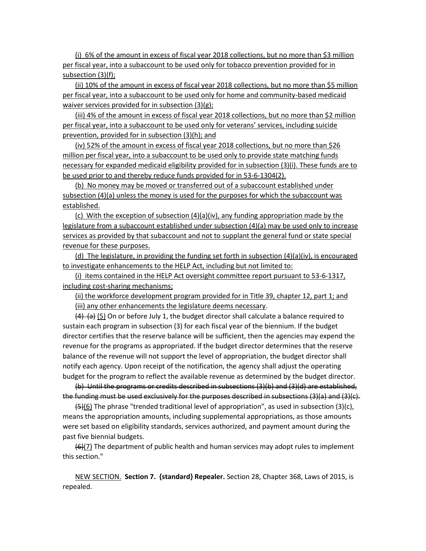(i) 6% of the amount in excess of fiscal year 2018 collections, but no more than \$3 million per fiscal year, into a subaccount to be used only for tobacco prevention provided for in subsection (3)(f);

(ii) 10% of the amount in excess of fiscal year 2018 collections, but no more than \$5 million per fiscal year, into a subaccount to be used only for home and community-based medicaid waiver services provided for in subsection (3)(g);

(iii) 4% of the amount in excess of fiscal year 2018 collections, but no more than \$2 million per fiscal year, into a subaccount to be used only for veterans' services, including suicide prevention, provided for in subsection (3)(h); and

(iv) 52% of the amount in excess of fiscal year 2018 collections, but no more than \$26 million per fiscal year, into a subaccount to be used only to provide state matching funds necessary for expanded medicaid eligibility provided for in subsection (3)(i). These funds are to be used prior to and thereby reduce funds provided for in 53-6-1304(2).

(b) No money may be moved or transferred out of a subaccount established under subsection (4)(a) unless the money is used for the purposes for which the subaccount was established.

(c) With the exception of subsection  $(4)(a)(iv)$ , any funding appropriation made by the legislature from a subaccount established under subsection (4)(a) may be used only to increase services as provided by that subaccount and not to supplant the general fund or state special revenue for these purposes.

(d) The legislature, in providing the funding set forth in subsection (4)(a)(iv), is encouraged to investigate enhancements to the HELP Act, including but not limited to:

(i) items contained in the HELP Act oversight committee report pursuant to 53-6-1317, including cost-sharing mechanisms;

(ii) the workforce development program provided for in Title 39, chapter 12, part 1; and (iii) any other enhancements the legislature deems necessary.

 $(4)$  (a) (5) On or before July 1, the budget director shall calculate a balance required to sustain each program in subsection (3) for each fiscal year of the biennium. If the budget director certifies that the reserve balance will be sufficient, then the agencies may expend the revenue for the programs as appropriated. If the budget director determines that the reserve balance of the revenue will not support the level of appropriation, the budget director shall notify each agency. Upon receipt of the notification, the agency shall adjust the operating budget for the program to reflect the available revenue as determined by the budget director.

(b) Until the programs or credits described in subsections (3)(b) and (3)(d) are established, the funding must be used exclusively for the purposes described in subsections (3)(a) and (3)(c).

 $\left(5\right)$ (6) The phrase "trended traditional level of appropriation", as used in subsection (3)(c), means the appropriation amounts, including supplemental appropriations, as those amounts were set based on eligibility standards, services authorized, and payment amount during the past five biennial budgets.

 $(6)(7)$  The department of public health and human services may adopt rules to implement this section."

NEW SECTION. **Section 7. {standard} Repealer.** Section 28, Chapter 368, Laws of 2015, is repealed.